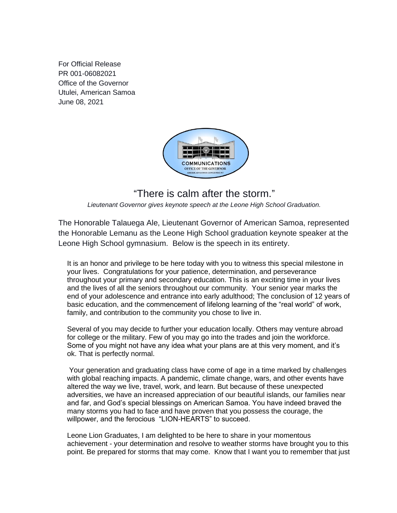For Official Release PR 001-06082021 Office of the Governor Utulei, American Samoa June 08, 2021



## "There is calm after the storm."

*Lieutenant Governor gives keynote speech at the Leone High School Graduation.*

The Honorable Talauega Ale, Lieutenant Governor of American Samoa, represented the Honorable Lemanu as the Leone High School graduation keynote speaker at the Leone High School gymnasium. Below is the speech in its entirety.

It is an honor and privilege to be here today with you to witness this special milestone in your lives. Congratulations for your patience, determination, and perseverance throughout your primary and secondary education. This is an exciting time in your lives and the lives of all the seniors throughout our community. Your senior year marks the end of your adolescence and entrance into early adulthood; The conclusion of 12 years of basic education, and the commencement of lifelong learning of the "real world" of work, family, and contribution to the community you chose to live in.

Several of you may decide to further your education locally. Others may venture abroad for college or the military. Few of you may go into the trades and join the workforce. Some of you might not have any idea what your plans are at this very moment, and it's ok. That is perfectly normal.

Your generation and graduating class have come of age in a time marked by challenges with global reaching impacts. A pandemic, climate change, wars, and other events have altered the way we live, travel, work, and learn. But because of these unexpected adversities, we have an increased appreciation of our beautiful islands, our families near and far, and God's special blessings on American Samoa. You have indeed braved the many storms you had to face and have proven that you possess the courage, the willpower, and the ferocious "LION-HEARTS" to succeed.

Leone Lion Graduates, I am delighted to be here to share in your momentous achievement - your determination and resolve to weather storms have brought you to this point. Be prepared for storms that may come. Know that I want you to remember that just